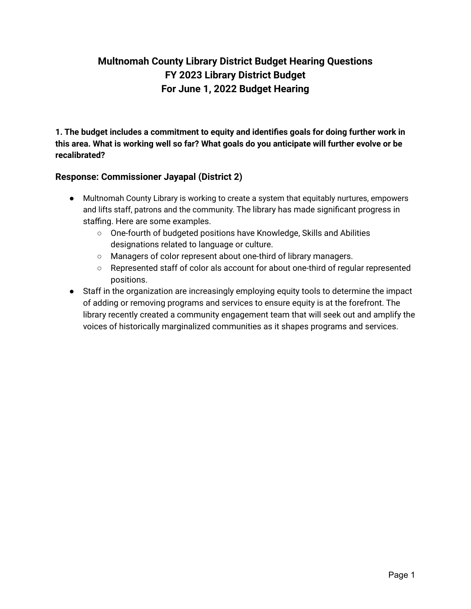# **Multnomah County Library District Budget Hearing Questions FY 2023 Library District Budget For June 1, 2022 Budget Hearing**

**1. The budget includes a commitment to equity and identifies goals for doing further work in this area. What is working well so far? What goals do you anticipate will further evolve or be recalibrated?**

# **Response: Commissioner Jayapal (District 2)**

- Multnomah County Library is working to create a system that equitably nurtures, empowers and lifts staff, patrons and the community. The library has made significant progress in staffing. Here are some examples.
	- One-fourth of budgeted positions have Knowledge, Skills and Abilities designations related to language or culture.
	- Managers of color represent about one-third of library managers.
	- Represented staff of color als account for about one-third of regular represented positions.
- Staff in the organization are increasingly employing equity tools to determine the impact of adding or removing programs and services to ensure equity is at the forefront. The library recently created a community engagement team that will seek out and amplify the voices of historically marginalized communities as it shapes programs and services.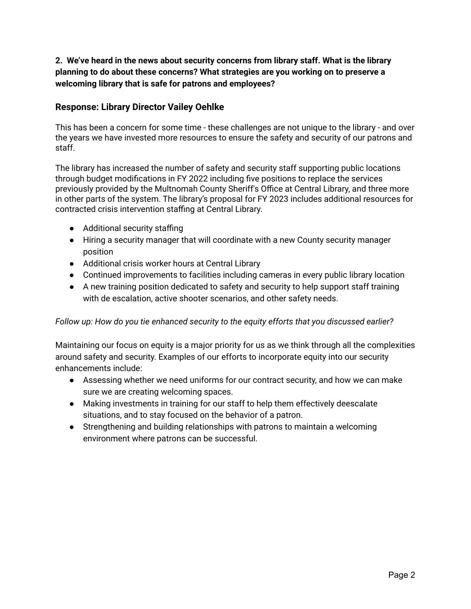#### **2. We've heard in the news about security concerns from library staff. What is the library planning to do about these concerns? What strategies are you working on to preserve a welcoming library that is safe for patrons and employees?**

#### **Response: Library Director Vailey Oehlke**

This has been a concern for some time - these challenges are not unique to the library - and over the years we have invested more resources to ensure the safety and security of our patrons and staff.

The library has increased the number of safety and security staff supporting public locations through budget modifications in FY 2022 including five positions to replace the services previously provided by the Multnomah County Sheriff's Office at Central Library, and three more in other parts of the system. The library's proposal for FY 2023 includes additional resources for contracted crisis intervention staffing at Central Library.

- Additional security staffing
- Hiring a security manager that will coordinate with a new County security manager position
- Additional crisis worker hours at Central Library
- Continued improvements to facilities including cameras in every public library location
- A new training position dedicated to safety and security to help support staff training with de escalation, active shooter scenarios, and other safety needs.

#### *Follow up: How do you tie enhanced security to the equity efforts that you discussed earlier?*

Maintaining our focus on equity is a major priority for us as we think through all the complexities around safety and security. Examples of our efforts to incorporate equity into our security enhancements include:

- Assessing whether we need uniforms for our contract security, and how we can make sure we are creating welcoming spaces.
- Making investments in training for our staff to help them effectively deescalate situations, and to stay focused on the behavior of a patron.
- Strengthening and building relationships with patrons to maintain a welcoming environment where patrons can be successful.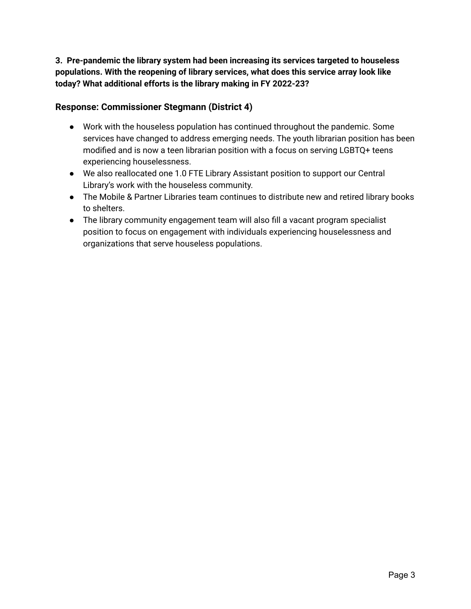**3. Pre-pandemic the library system had been increasing its services targeted to houseless populations. With the reopening of library services, what does this service array look like today? What additional efforts is the library making in FY 2022-23?**

# **Response: Commissioner Stegmann (District 4)**

- Work with the houseless population has continued throughout the pandemic. Some services have changed to address emerging needs. The youth librarian position has been modified and is now a teen librarian position with a focus on serving LGBTQ+ teens experiencing houselessness.
- We also reallocated one 1.0 FTE Library Assistant position to support our Central Library's work with the houseless community.
- The Mobile & Partner Libraries team continues to distribute new and retired library books to shelters.
- The library community engagement team will also fill a vacant program specialist position to focus on engagement with individuals experiencing houselessness and organizations that serve houseless populations.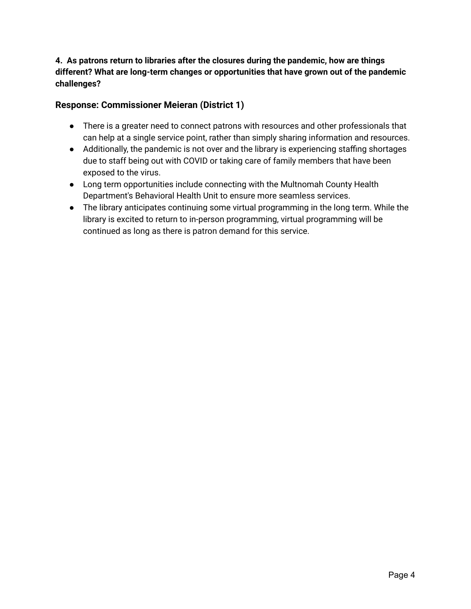# **4. As patrons return to libraries after the closures during the pandemic, how are things different? What are long-term changes or opportunities that have grown out of the pandemic challenges?**

# **Response: Commissioner Meieran (District 1)**

- There is a greater need to connect patrons with resources and other professionals that can help at a single service point, rather than simply sharing information and resources.
- Additionally, the pandemic is not over and the library is experiencing staffing shortages due to staff being out with COVID or taking care of family members that have been exposed to the virus.
- Long term opportunities include connecting with the Multnomah County Health Department's Behavioral Health Unit to ensure more seamless services.
- The library anticipates continuing some virtual programming in the long term. While the library is excited to return to in-person programming, virtual programming will be continued as long as there is patron demand for this service.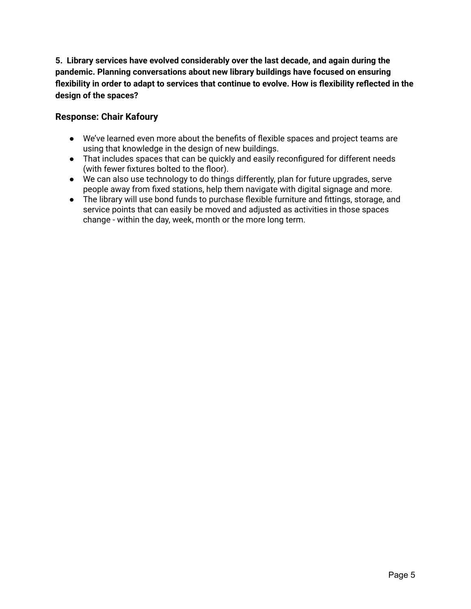**5. Library services have evolved considerably over the last decade, and again during the pandemic. Planning conversations about new library buildings have focused on ensuring flexibility in order to adapt to services that continue to evolve. How is flexibility reflected in the design of the spaces?**

#### **Response: Chair Kafoury**

- We've learned even more about the benefits of flexible spaces and project teams are using that knowledge in the design of new buildings.
- That includes spaces that can be quickly and easily reconfigured for different needs (with fewer fixtures bolted to the floor).
- We can also use technology to do things differently, plan for future upgrades, serve people away from fixed stations, help them navigate with digital signage and more.
- The library will use bond funds to purchase flexible furniture and fittings, storage, and service points that can easily be moved and adjusted as activities in those spaces change - within the day, week, month or the more long term.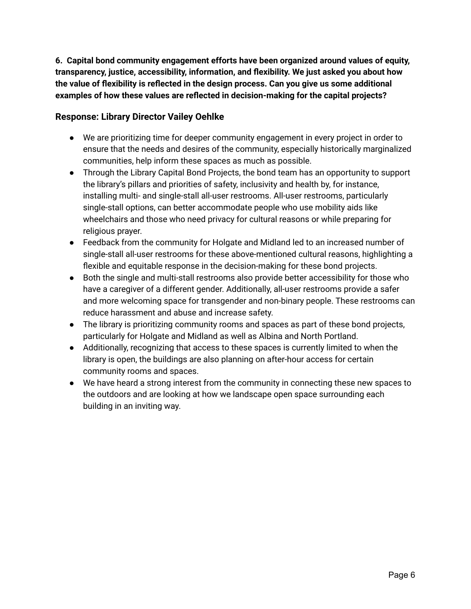**6. Capital bond community engagement efforts have been organized around values of equity, transparency, justice, accessibility, information, and flexibility. We just asked you about how the value of flexibility is reflected in the design process. Can you give us some additional examples of how these values are reflected in decision-making for the capital projects?**

## **Response: Library Director Vailey Oehlke**

- We are prioritizing time for deeper community engagement in every project in order to ensure that the needs and desires of the community, especially historically marginalized communities, help inform these spaces as much as possible.
- Through the Library Capital Bond Projects, the bond team has an opportunity to support the library's pillars and priorities of safety, inclusivity and health by, for instance, installing multi- and single-stall all-user restrooms. All-user restrooms, particularly single-stall options, can better accommodate people who use mobility aids like wheelchairs and those who need privacy for cultural reasons or while preparing for religious prayer.
- Feedback from the community for Holgate and Midland led to an increased number of single-stall all-user restrooms for these above-mentioned cultural reasons, highlighting a flexible and equitable response in the decision-making for these bond projects.
- Both the single and multi-stall restrooms also provide better accessibility for those who have a caregiver of a different gender. Additionally, all-user restrooms provide a safer and more welcoming space for transgender and non-binary people. These restrooms can reduce harassment and abuse and increase safety.
- The library is prioritizing community rooms and spaces as part of these bond projects, particularly for Holgate and Midland as well as Albina and North Portland.
- Additionally, recognizing that access to these spaces is currently limited to when the library is open, the buildings are also planning on after-hour access for certain community rooms and spaces.
- We have heard a strong interest from the community in connecting these new spaces to the outdoors and are looking at how we landscape open space surrounding each building in an inviting way.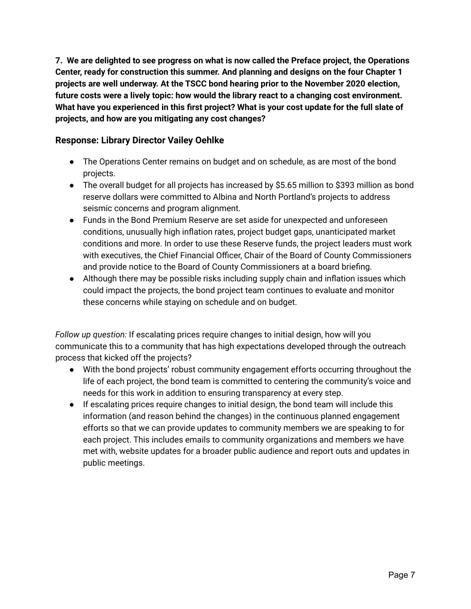**7. We are delighted to see progress on what is now called the Preface project, the Operations Center, ready for construction this summer. And planning and designs on the four Chapter 1 projects are well underway. At the TSCC bond hearing prior to the November 2020 election, future costs were a lively topic: how would the library react to a changing cost environment. What have you experienced in this first project? What is your cost update for the full slate of projects, and how are you mitigating any cost changes?**

#### **Response: Library Director Vailey Oehlke**

- The Operations Center remains on budget and on schedule, as are most of the bond projects.
- The overall budget for all projects has increased by \$5.65 million to \$393 million as bond reserve dollars were committed to Albina and North Portland's projects to address seismic concerns and program alignment.
- Funds in the Bond Premium Reserve are set aside for unexpected and unforeseen conditions, unusually high inflation rates, project budget gaps, unanticipated market conditions and more. In order to use these Reserve funds, the project leaders must work with executives, the Chief Financial Officer, Chair of the Board of County Commissioners and provide notice to the Board of County Commissioners at a board briefing.
- Although there may be possible risks including supply chain and inflation issues which could impact the projects, the bond project team continues to evaluate and monitor these concerns while staying on schedule and on budget.

*Follow up question:* If escalating prices require changes to initial design, how will you communicate this to a community that has high expectations developed through the outreach process that kicked off the projects?

- With the bond projects' robust community engagement efforts occurring throughout the life of each project, the bond team is committed to centering the community's voice and needs for this work in addition to ensuring transparency at every step.
- If escalating prices require changes to initial design, the bond team will include this information (and reason behind the changes) in the continuous planned engagement efforts so that we can provide updates to community members we are speaking to for each project. This includes emails to community organizations and members we have met with, website updates for a broader public audience and report outs and updates in public meetings.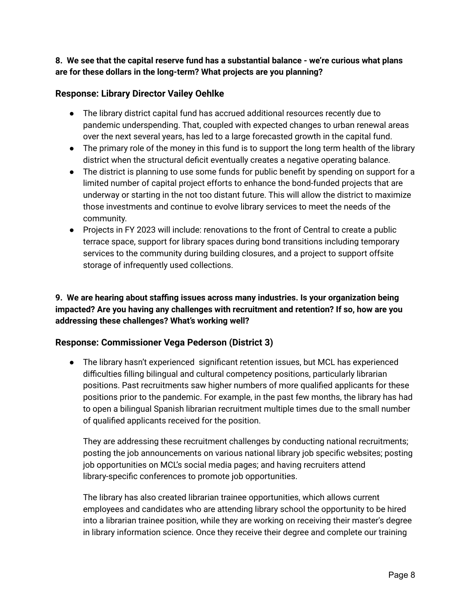#### **8. We see that the capital reserve fund has a substantial balance - we're curious what plans are for these dollars in the long-term? What projects are you planning?**

## **Response: Library Director Vailey Oehlke**

- The library district capital fund has accrued additional resources recently due to pandemic underspending. That, coupled with expected changes to urban renewal areas over the next several years, has led to a large forecasted growth in the capital fund.
- The primary role of the money in this fund is to support the long term health of the library district when the structural deficit eventually creates a negative operating balance.
- The district is planning to use some funds for public benefit by spending on support for a limited number of capital project efforts to enhance the bond-funded projects that are underway or starting in the not too distant future. This will allow the district to maximize those investments and continue to evolve library services to meet the needs of the community.
- Projects in FY 2023 will include: renovations to the front of Central to create a public terrace space, support for library spaces during bond transitions including temporary services to the community during building closures, and a project to support offsite storage of infrequently used collections.

# **9. We are hearing about staffing issues across many industries. Is your organization being impacted? Are you having any challenges with recruitment and retention? If so, how are you addressing these challenges? What's working well?**

# **Response: Commissioner Vega Pederson (District 3)**

● The library hasn't experienced significant retention issues, but MCL has experienced difficulties filling bilingual and cultural competency positions, particularly librarian positions. Past recruitments saw higher numbers of more qualified applicants for these positions prior to the pandemic. For example, in the past few months, the library has had to open a bilingual Spanish librarian recruitment multiple times due to the small number of qualified applicants received for the position.

They are addressing these recruitment challenges by conducting national recruitments; posting the job announcements on various national library job specific websites; posting job opportunities on MCL's social media pages; and having recruiters attend library-specific conferences to promote job opportunities.

The library has also created librarian trainee opportunities, which allows current employees and candidates who are attending library school the opportunity to be hired into a librarian trainee position, while they are working on receiving their master's degree in library information science. Once they receive their degree and complete our training